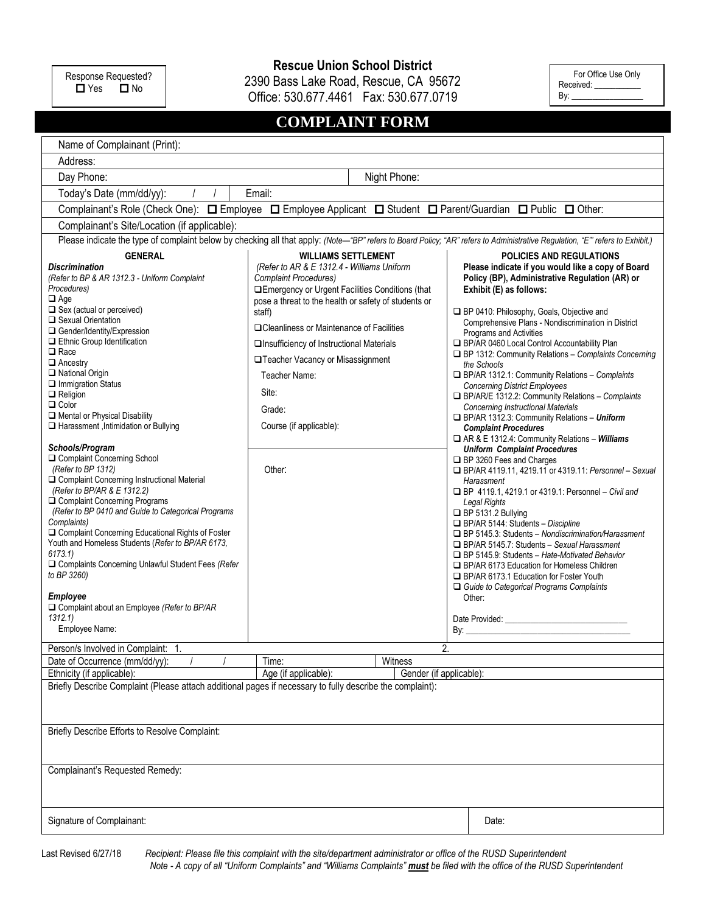Response Requested?<br>
<br> **O** Yes **O** No  $\dot{\mathsf{u}}$  Yes

**Rescue Union School District**

2390 Bass Lake Road, Rescue, CA 95672

Office: 530.677.4461 Fax: 530.677.0719 **COMPLAINT FORM**

For Office Use Only Received: By:  $_$ 

| CUMPLAINT FURM                                                                                                                                                                                                                                                                                                                                                                                                                                                                                                                                                                                                                                                                                                                                                                                                                                                                                                                                                                                                                                                                                                                                                                                                                                                            |                                                                                                                                                                                                                                                                                                                                                                                                                                                                                                                         |                                                                                                                                                                                                                                                                                                                                                                                                                                                                                                                                                                                                                                                                                                                                                                                                                                                                                                                                                                                                                                                                                                                                                                                                                                                                                                                                                                                                      |
|---------------------------------------------------------------------------------------------------------------------------------------------------------------------------------------------------------------------------------------------------------------------------------------------------------------------------------------------------------------------------------------------------------------------------------------------------------------------------------------------------------------------------------------------------------------------------------------------------------------------------------------------------------------------------------------------------------------------------------------------------------------------------------------------------------------------------------------------------------------------------------------------------------------------------------------------------------------------------------------------------------------------------------------------------------------------------------------------------------------------------------------------------------------------------------------------------------------------------------------------------------------------------|-------------------------------------------------------------------------------------------------------------------------------------------------------------------------------------------------------------------------------------------------------------------------------------------------------------------------------------------------------------------------------------------------------------------------------------------------------------------------------------------------------------------------|------------------------------------------------------------------------------------------------------------------------------------------------------------------------------------------------------------------------------------------------------------------------------------------------------------------------------------------------------------------------------------------------------------------------------------------------------------------------------------------------------------------------------------------------------------------------------------------------------------------------------------------------------------------------------------------------------------------------------------------------------------------------------------------------------------------------------------------------------------------------------------------------------------------------------------------------------------------------------------------------------------------------------------------------------------------------------------------------------------------------------------------------------------------------------------------------------------------------------------------------------------------------------------------------------------------------------------------------------------------------------------------------------|
| Name of Complainant (Print):                                                                                                                                                                                                                                                                                                                                                                                                                                                                                                                                                                                                                                                                                                                                                                                                                                                                                                                                                                                                                                                                                                                                                                                                                                              |                                                                                                                                                                                                                                                                                                                                                                                                                                                                                                                         |                                                                                                                                                                                                                                                                                                                                                                                                                                                                                                                                                                                                                                                                                                                                                                                                                                                                                                                                                                                                                                                                                                                                                                                                                                                                                                                                                                                                      |
| Address:                                                                                                                                                                                                                                                                                                                                                                                                                                                                                                                                                                                                                                                                                                                                                                                                                                                                                                                                                                                                                                                                                                                                                                                                                                                                  |                                                                                                                                                                                                                                                                                                                                                                                                                                                                                                                         |                                                                                                                                                                                                                                                                                                                                                                                                                                                                                                                                                                                                                                                                                                                                                                                                                                                                                                                                                                                                                                                                                                                                                                                                                                                                                                                                                                                                      |
| Day Phone:                                                                                                                                                                                                                                                                                                                                                                                                                                                                                                                                                                                                                                                                                                                                                                                                                                                                                                                                                                                                                                                                                                                                                                                                                                                                | Night Phone:                                                                                                                                                                                                                                                                                                                                                                                                                                                                                                            |                                                                                                                                                                                                                                                                                                                                                                                                                                                                                                                                                                                                                                                                                                                                                                                                                                                                                                                                                                                                                                                                                                                                                                                                                                                                                                                                                                                                      |
| Today's Date (mm/dd/yy):                                                                                                                                                                                                                                                                                                                                                                                                                                                                                                                                                                                                                                                                                                                                                                                                                                                                                                                                                                                                                                                                                                                                                                                                                                                  | Email:                                                                                                                                                                                                                                                                                                                                                                                                                                                                                                                  |                                                                                                                                                                                                                                                                                                                                                                                                                                                                                                                                                                                                                                                                                                                                                                                                                                                                                                                                                                                                                                                                                                                                                                                                                                                                                                                                                                                                      |
| Complainant's Role (Check One): $\Box$ Employee $\Box$ Employee Applicant $\Box$ Student $\Box$ Parent/Guardian $\Box$ Public $\Box$ Other:                                                                                                                                                                                                                                                                                                                                                                                                                                                                                                                                                                                                                                                                                                                                                                                                                                                                                                                                                                                                                                                                                                                               |                                                                                                                                                                                                                                                                                                                                                                                                                                                                                                                         |                                                                                                                                                                                                                                                                                                                                                                                                                                                                                                                                                                                                                                                                                                                                                                                                                                                                                                                                                                                                                                                                                                                                                                                                                                                                                                                                                                                                      |
| Complainant's Site/Location (if applicable):                                                                                                                                                                                                                                                                                                                                                                                                                                                                                                                                                                                                                                                                                                                                                                                                                                                                                                                                                                                                                                                                                                                                                                                                                              |                                                                                                                                                                                                                                                                                                                                                                                                                                                                                                                         |                                                                                                                                                                                                                                                                                                                                                                                                                                                                                                                                                                                                                                                                                                                                                                                                                                                                                                                                                                                                                                                                                                                                                                                                                                                                                                                                                                                                      |
| Please indicate the type of complaint below by checking all that apply: (Note-"BP" refers to Board Policy; "AR" refers to Administrative Regulation, "E" refers to Exhibit.)                                                                                                                                                                                                                                                                                                                                                                                                                                                                                                                                                                                                                                                                                                                                                                                                                                                                                                                                                                                                                                                                                              |                                                                                                                                                                                                                                                                                                                                                                                                                                                                                                                         |                                                                                                                                                                                                                                                                                                                                                                                                                                                                                                                                                                                                                                                                                                                                                                                                                                                                                                                                                                                                                                                                                                                                                                                                                                                                                                                                                                                                      |
| <b>GENERAL</b><br><b>Discrimination</b><br>(Refer to BP & AR 1312.3 - Uniform Complaint<br>Procedures)<br>$\Box$ Age<br>$\Box$ Sex (actual or perceived)<br>Sexual Orientation<br>Gender/Identity/Expression<br>Ethnic Group Identification<br>$\square$ Race<br>$\Box$ Ancestry<br>National Origin<br>$\Box$ Immigration Status<br>$\Box$ Religion<br>$\Box$ Color<br>Mental or Physical Disability<br>Harassment, Intimidation or Bullying<br>Schools/Program<br>Complaint Concerning School<br>(Refer to BP 1312)<br>O Complaint Concerning Instructional Material<br>(Refer to BP/AR & E 1312.2)<br>Complaint Concerning Programs<br>(Refer to BP 0410 and Guide to Categorical Programs<br>Complaints)<br>□ Complaint Concerning Educational Rights of Foster<br>Youth and Homeless Students (Refer to BP/AR 6173,<br>6173.1<br>Complaints Concerning Unlawful Student Fees (Refer<br>to BP 3260)<br>Employee<br>$\Box$ Complaint about an Employee (Refer to BP/AR<br>1312.1<br>Employee Name:<br>Person/s Involved in Complaint: 1.<br>Date of Occurrence (mm/dd/yy):<br>Ethnicity (if applicable):<br>Briefly Describe Complaint (Please attach additional pages if necessary to fully describe the complaint):<br>Briefly Describe Efforts to Resolve Complaint: | <b>WILLIAMS SETTLEMENT</b><br>(Refer to AR & E 1312.4 - Williams Uniform<br><b>Complaint Procedures)</b><br>□ Emergency or Urgent Facilities Conditions (that<br>pose a threat to the health or safety of students or<br>staff)<br>□ Cleanliness or Maintenance of Facilities<br>□ Insufficiency of Instructional Materials<br>□ Teacher Vacancy or Misassignment<br>Teacher Name:<br>Site:<br>Grade:<br>Course (if applicable):<br>Other:<br>2.<br>Time:<br>Witness<br>Age (if applicable):<br>Gender (if applicable): | <b>POLICIES AND REGULATIONS</b><br>Please indicate if you would like a copy of Board<br>Policy (BP), Administrative Regulation (AR) or<br>Exhibit (E) as follows:<br>BP 0410: Philosophy, Goals, Objective and<br>Comprehensive Plans - Nondiscrimination in District<br><b>Programs and Activities</b><br>BP/AR 0460 Local Control Accountability Plan<br>$\Box$ BP 1312: Community Relations - Complaints Concerning<br>the Schools<br>BP/AR 1312.1: Community Relations - Complaints<br><b>Concerning District Employees</b><br>BP/AR/E 1312.2: Community Relations - Complaints<br><b>Concerning Instructional Materials</b><br>BP/AR 1312.3: Community Relations - Uniform<br><b>Complaint Procedures</b><br>AR & E 1312.4: Community Relations - Williams<br><b>Uniform Complaint Procedures</b><br>BP 3260 Fees and Charges<br>□ BP/AR 4119.11, 4219.11 or 4319.11: Personnel - Sexual<br>Harassment<br>□ BP 4119.1, 4219.1 or 4319.1: Personnel - Civil and<br>Legal Rights<br>$\Box$ BP 5131.2 Bullying<br>BP/AR 5144: Students - Discipline<br>$\Box$ BP 5145.3: Students - Nondiscrimination/Harassment<br>□ BP/AR 5145.7: Students - Sexual Harassment<br>$\Box$ BP 5145.9: Students - Hate-Motivated Behavior<br>□ BP/AR 6173 Education for Homeless Children<br>BP/AR 6173.1 Education for Foster Youth<br>□ Guide to Categorical Programs Complaints<br>Other:<br>By: $\qquad \qquad$ |
|                                                                                                                                                                                                                                                                                                                                                                                                                                                                                                                                                                                                                                                                                                                                                                                                                                                                                                                                                                                                                                                                                                                                                                                                                                                                           |                                                                                                                                                                                                                                                                                                                                                                                                                                                                                                                         |                                                                                                                                                                                                                                                                                                                                                                                                                                                                                                                                                                                                                                                                                                                                                                                                                                                                                                                                                                                                                                                                                                                                                                                                                                                                                                                                                                                                      |
| Complainant's Requested Remedy:                                                                                                                                                                                                                                                                                                                                                                                                                                                                                                                                                                                                                                                                                                                                                                                                                                                                                                                                                                                                                                                                                                                                                                                                                                           |                                                                                                                                                                                                                                                                                                                                                                                                                                                                                                                         |                                                                                                                                                                                                                                                                                                                                                                                                                                                                                                                                                                                                                                                                                                                                                                                                                                                                                                                                                                                                                                                                                                                                                                                                                                                                                                                                                                                                      |
| Signature of Complainant:                                                                                                                                                                                                                                                                                                                                                                                                                                                                                                                                                                                                                                                                                                                                                                                                                                                                                                                                                                                                                                                                                                                                                                                                                                                 |                                                                                                                                                                                                                                                                                                                                                                                                                                                                                                                         | Date:                                                                                                                                                                                                                                                                                                                                                                                                                                                                                                                                                                                                                                                                                                                                                                                                                                                                                                                                                                                                                                                                                                                                                                                                                                                                                                                                                                                                |

Last Revised 6/27/18 *Recipient: Please file this complaint with the site/department administrator or office of the RUSD Superintendent Note - A copy of all "Uniform Complaints" and "Williams Complaints" must be filed with the office of the RUSD Superintendent*